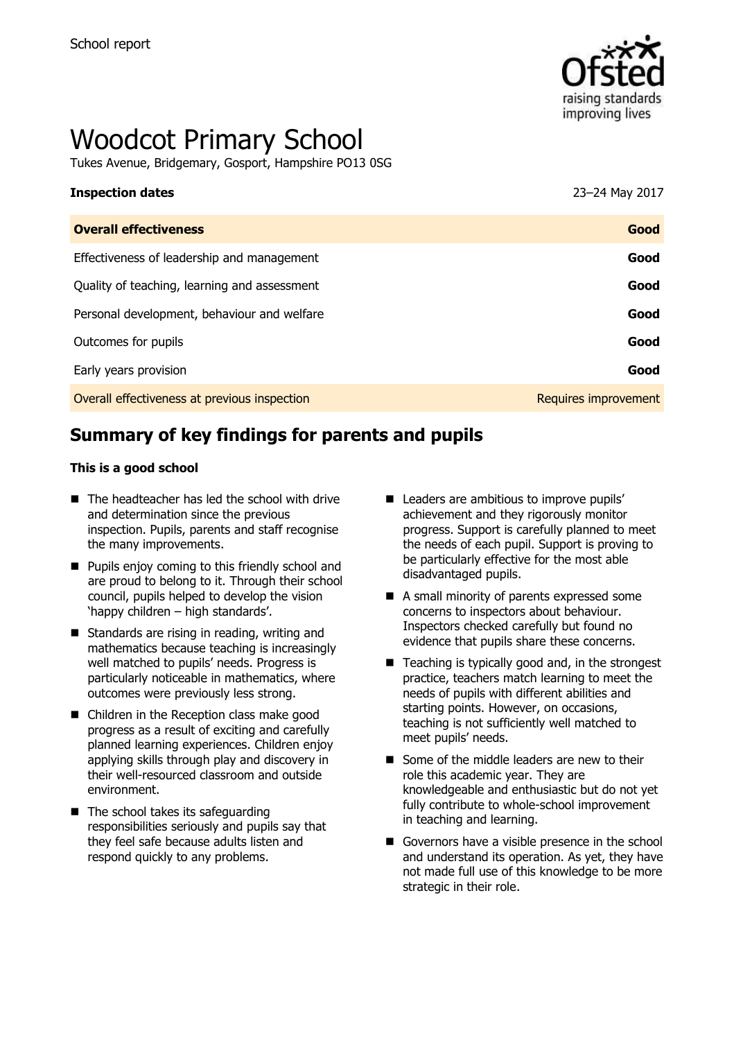

# Woodcot Primary School

Tukes Avenue, Bridgemary, Gosport, Hampshire PO13 0SG

| <b>Inspection dates</b>                      | 23-24 May 2017       |
|----------------------------------------------|----------------------|
| <b>Overall effectiveness</b>                 | Good                 |
| Effectiveness of leadership and management   | Good                 |
| Quality of teaching, learning and assessment | Good                 |
| Personal development, behaviour and welfare  | Good                 |
| Outcomes for pupils                          | Good                 |
| Early years provision                        | Good                 |
| Overall effectiveness at previous inspection | Requires improvement |
|                                              |                      |

# **Summary of key findings for parents and pupils**

#### **This is a good school**

- $\blacksquare$  The headteacher has led the school with drive and determination since the previous inspection. Pupils, parents and staff recognise the many improvements.
- $\blacksquare$  Pupils enjoy coming to this friendly school and are proud to belong to it. Through their school council, pupils helped to develop the vision 'happy children – high standards'.
- Standards are rising in reading, writing and mathematics because teaching is increasingly well matched to pupils' needs. Progress is particularly noticeable in mathematics, where outcomes were previously less strong.
- Children in the Reception class make good progress as a result of exciting and carefully planned learning experiences. Children enjoy applying skills through play and discovery in their well-resourced classroom and outside environment.
- The school takes its safeguarding responsibilities seriously and pupils say that they feel safe because adults listen and respond quickly to any problems.
- Leaders are ambitious to improve pupils' achievement and they rigorously monitor progress. Support is carefully planned to meet the needs of each pupil. Support is proving to be particularly effective for the most able disadvantaged pupils.
- A small minority of parents expressed some concerns to inspectors about behaviour. Inspectors checked carefully but found no evidence that pupils share these concerns.
- Teaching is typically good and, in the strongest practice, teachers match learning to meet the needs of pupils with different abilities and starting points. However, on occasions, teaching is not sufficiently well matched to meet pupils' needs.
- Some of the middle leaders are new to their role this academic year. They are knowledgeable and enthusiastic but do not yet fully contribute to whole-school improvement in teaching and learning.
- Governors have a visible presence in the school and understand its operation. As yet, they have not made full use of this knowledge to be more strategic in their role.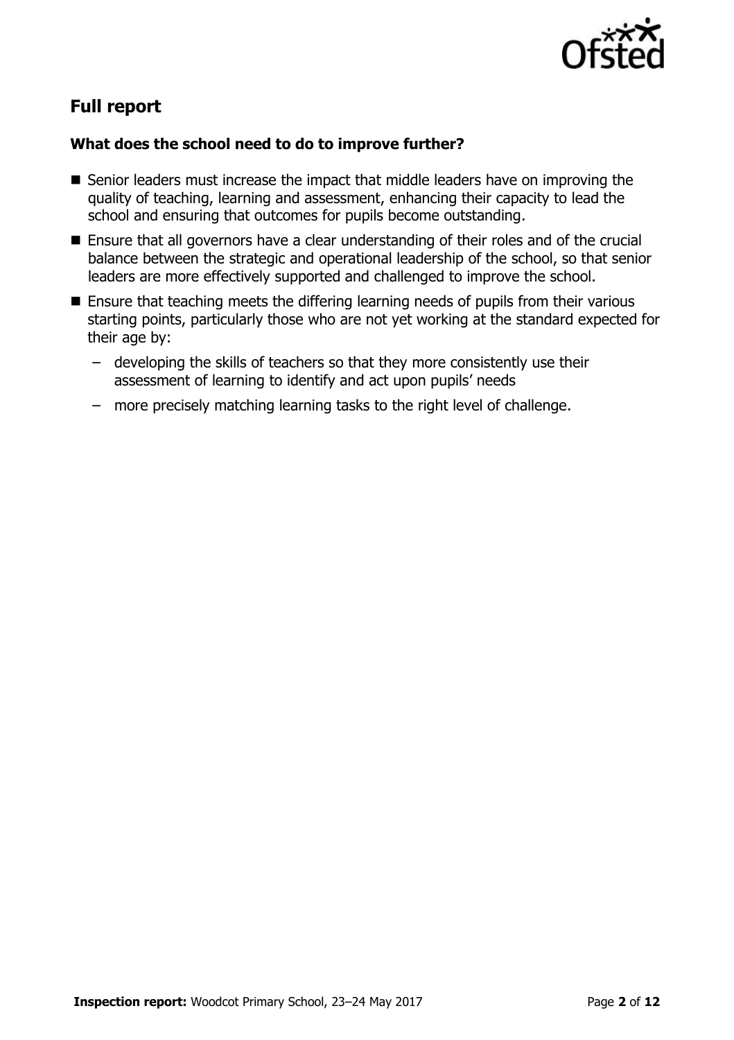

# **Full report**

#### **What does the school need to do to improve further?**

- Senior leaders must increase the impact that middle leaders have on improving the quality of teaching, learning and assessment, enhancing their capacity to lead the school and ensuring that outcomes for pupils become outstanding.
- Ensure that all governors have a clear understanding of their roles and of the crucial balance between the strategic and operational leadership of the school, so that senior leaders are more effectively supported and challenged to improve the school.
- Ensure that teaching meets the differing learning needs of pupils from their various starting points, particularly those who are not yet working at the standard expected for their age by:
	- developing the skills of teachers so that they more consistently use their assessment of learning to identify and act upon pupils' needs
	- more precisely matching learning tasks to the right level of challenge.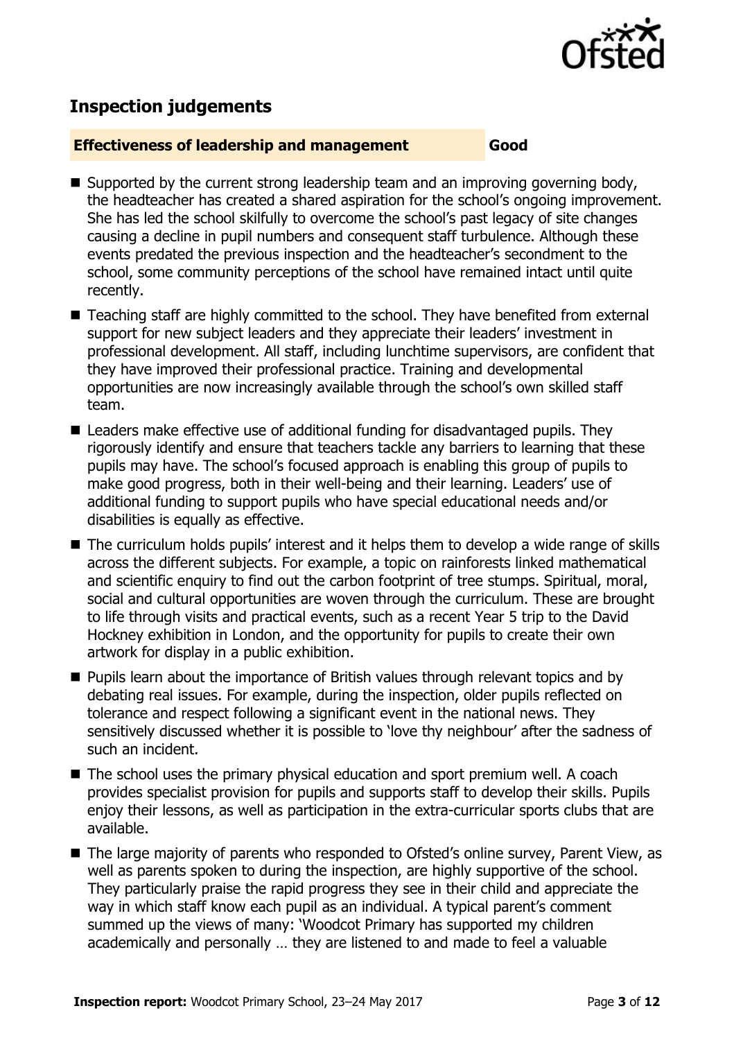

## **Inspection judgements**

#### **Effectiveness of leadership and management Good**

- Supported by the current strong leadership team and an improving governing body, the headteacher has created a shared aspiration for the school's ongoing improvement. She has led the school skilfully to overcome the school's past legacy of site changes causing a decline in pupil numbers and consequent staff turbulence. Although these events predated the previous inspection and the headteacher's secondment to the school, some community perceptions of the school have remained intact until quite recently.
- Teaching staff are highly committed to the school. They have benefited from external support for new subject leaders and they appreciate their leaders' investment in professional development. All staff, including lunchtime supervisors, are confident that they have improved their professional practice. Training and developmental opportunities are now increasingly available through the school's own skilled staff team.
- Leaders make effective use of additional funding for disadvantaged pupils. They rigorously identify and ensure that teachers tackle any barriers to learning that these pupils may have. The school's focused approach is enabling this group of pupils to make good progress, both in their well-being and their learning. Leaders' use of additional funding to support pupils who have special educational needs and/or disabilities is equally as effective.
- The curriculum holds pupils' interest and it helps them to develop a wide range of skills across the different subjects. For example, a topic on rainforests linked mathematical and scientific enquiry to find out the carbon footprint of tree stumps. Spiritual, moral, social and cultural opportunities are woven through the curriculum. These are brought to life through visits and practical events, such as a recent Year 5 trip to the David Hockney exhibition in London, and the opportunity for pupils to create their own artwork for display in a public exhibition.
- **Pupils learn about the importance of British values through relevant topics and by** debating real issues. For example, during the inspection, older pupils reflected on tolerance and respect following a significant event in the national news. They sensitively discussed whether it is possible to 'love thy neighbour' after the sadness of such an incident.
- The school uses the primary physical education and sport premium well. A coach provides specialist provision for pupils and supports staff to develop their skills. Pupils enjoy their lessons, as well as participation in the extra-curricular sports clubs that are available.
- The large majority of parents who responded to Ofsted's online survey, Parent View, as well as parents spoken to during the inspection, are highly supportive of the school. They particularly praise the rapid progress they see in their child and appreciate the way in which staff know each pupil as an individual. A typical parent's comment summed up the views of many: 'Woodcot Primary has supported my children academically and personally … they are listened to and made to feel a valuable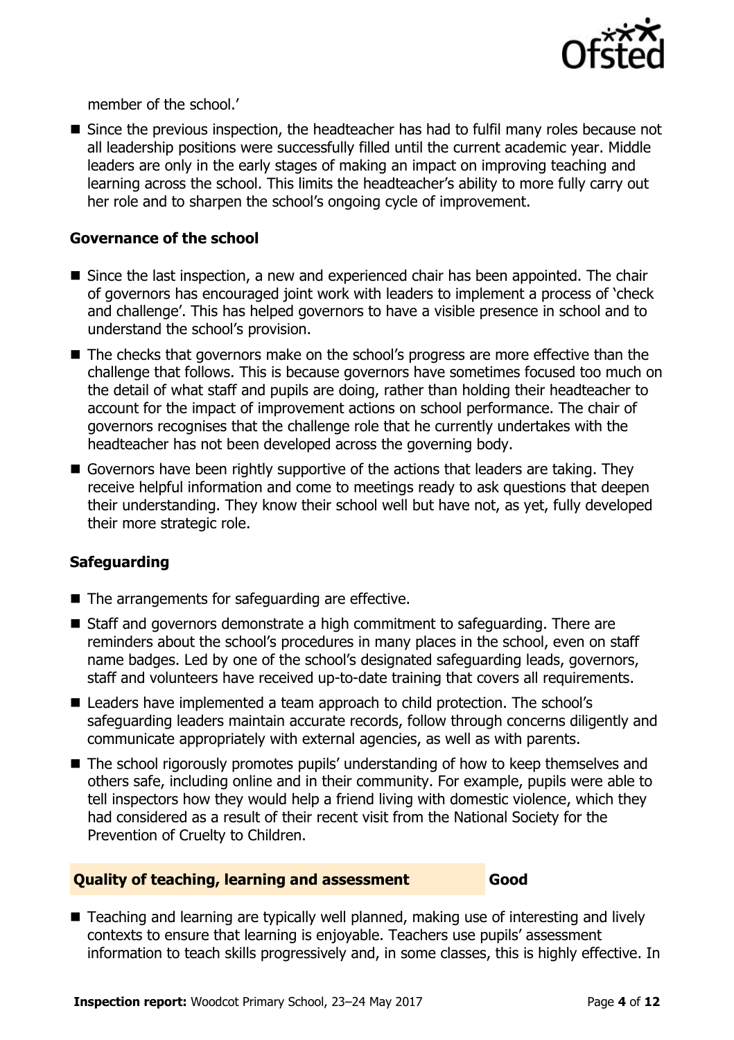

member of the school.'

Since the previous inspection, the headteacher has had to fulfil many roles because not all leadership positions were successfully filled until the current academic year. Middle leaders are only in the early stages of making an impact on improving teaching and learning across the school. This limits the headteacher's ability to more fully carry out her role and to sharpen the school's ongoing cycle of improvement.

#### , **Governance of the school**

- $\blacksquare$  Since the last inspection, a new and experienced chair has been appointed. The chair of governors has encouraged joint work with leaders to implement a process of 'check and challenge'. This has helped governors to have a visible presence in school and to understand the school's provision.
- The checks that governors make on the school's progress are more effective than the challenge that follows. This is because governors have sometimes focused too much on the detail of what staff and pupils are doing, rather than holding their headteacher to account for the impact of improvement actions on school performance. The chair of governors recognises that the challenge role that he currently undertakes with the headteacher has not been developed across the governing body.
- Governors have been rightly supportive of the actions that leaders are taking. They receive helpful information and come to meetings ready to ask questions that deepen their understanding. They know their school well but have not, as yet, fully developed their more strategic role.

### **Safeguarding**

- The arrangements for safeguarding are effective.
- Staff and governors demonstrate a high commitment to safeguarding. There are reminders about the school's procedures in many places in the school, even on staff name badges. Led by one of the school's designated safeguarding leads, governors, staff and volunteers have received up-to-date training that covers all requirements.
- Leaders have implemented a team approach to child protection. The school's safeguarding leaders maintain accurate records, follow through concerns diligently and communicate appropriately with external agencies, as well as with parents.
- The school rigorously promotes pupils' understanding of how to keep themselves and others safe, including online and in their community. For example, pupils were able to tell inspectors how they would help a friend living with domestic violence, which they had considered as a result of their recent visit from the National Society for the Prevention of Cruelty to Children.

#### **Quality of teaching, learning and assessment Good**

■ Teaching and learning are typically well planned, making use of interesting and lively contexts to ensure that learning is enjoyable. Teachers use pupils' assessment information to teach skills progressively and, in some classes, this is highly effective. In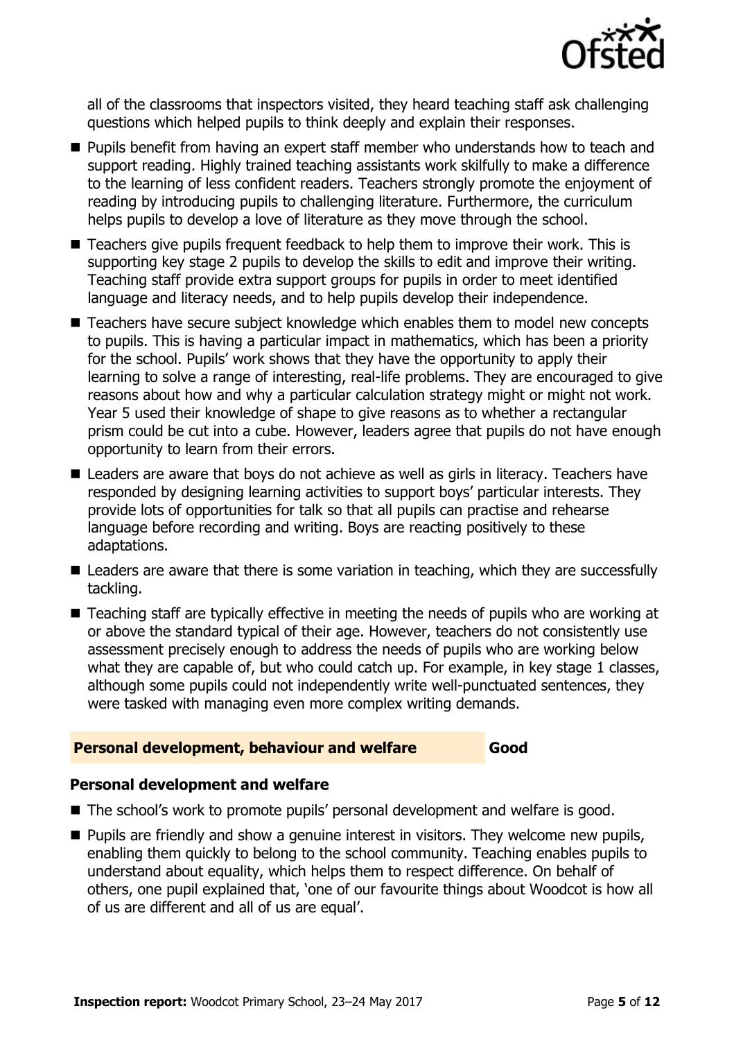

all of the classrooms that inspectors visited, they heard teaching staff ask challenging questions which helped pupils to think deeply and explain their responses.

- **Pupils benefit from having an expert staff member who understands how to teach and** support reading. Highly trained teaching assistants work skilfully to make a difference to the learning of less confident readers. Teachers strongly promote the enjoyment of reading by introducing pupils to challenging literature. Furthermore, the curriculum helps pupils to develop a love of literature as they move through the school.
- Teachers give pupils frequent feedback to help them to improve their work. This is supporting key stage 2 pupils to develop the skills to edit and improve their writing. Teaching staff provide extra support groups for pupils in order to meet identified language and literacy needs, and to help pupils develop their independence.
- Teachers have secure subject knowledge which enables them to model new concepts to pupils. This is having a particular impact in mathematics, which has been a priority for the school. Pupils' work shows that they have the opportunity to apply their learning to solve a range of interesting, real-life problems. They are encouraged to give reasons about how and why a particular calculation strategy might or might not work. Year 5 used their knowledge of shape to give reasons as to whether a rectangular prism could be cut into a cube. However, leaders agree that pupils do not have enough opportunity to learn from their errors.
- Leaders are aware that boys do not achieve as well as girls in literacy. Teachers have responded by designing learning activities to support boys' particular interests. They provide lots of opportunities for talk so that all pupils can practise and rehearse language before recording and writing. Boys are reacting positively to these adaptations.
- Leaders are aware that there is some variation in teaching, which they are successfully tackling.
- Teaching staff are typically effective in meeting the needs of pupils who are working at or above the standard typical of their age. However, teachers do not consistently use assessment precisely enough to address the needs of pupils who are working below what they are capable of, but who could catch up. For example, in key stage 1 classes, although some pupils could not independently write well-punctuated sentences, they were tasked with managing even more complex writing demands.

#### **Personal development, behaviour and welfare Good**

### **Personal development and welfare**

- The school's work to promote pupils' personal development and welfare is good.
- **Pupils are friendly and show a genuine interest in visitors. They welcome new pupils,** enabling them quickly to belong to the school community. Teaching enables pupils to understand about equality, which helps them to respect difference. On behalf of others, one pupil explained that, 'one of our favourite things about Woodcot is how all of us are different and all of us are equal'.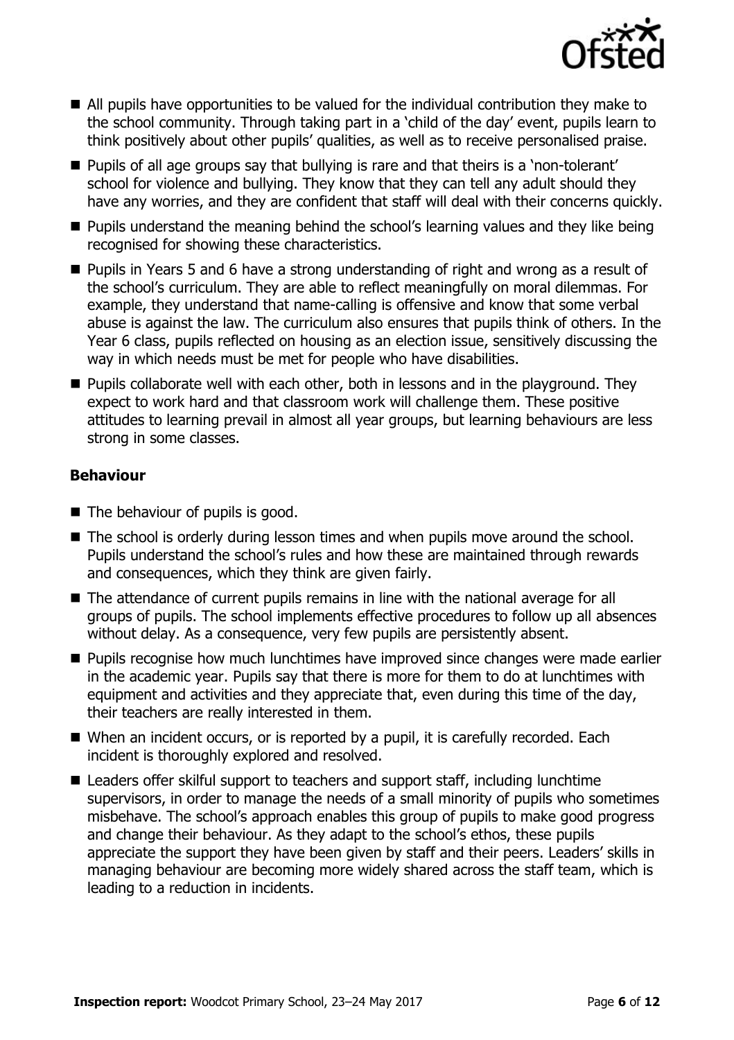

- All pupils have opportunities to be valued for the individual contribution they make to the school community. Through taking part in a 'child of the day' event, pupils learn to think positively about other pupils' qualities, as well as to receive personalised praise.
- **Pupils of all age groups say that bullying is rare and that theirs is a 'non-tolerant'** school for violence and bullying. They know that they can tell any adult should they have any worries, and they are confident that staff will deal with their concerns quickly.
- **Pupils understand the meaning behind the school's learning values and they like being** recognised for showing these characteristics.
- Pupils in Years 5 and 6 have a strong understanding of right and wrong as a result of the school's curriculum. They are able to reflect meaningfully on moral dilemmas. For example, they understand that name-calling is offensive and know that some verbal abuse is against the law. The curriculum also ensures that pupils think of others. In the Year 6 class, pupils reflected on housing as an election issue, sensitively discussing the way in which needs must be met for people who have disabilities.
- **Pupils collaborate well with each other, both in lessons and in the playground. They** expect to work hard and that classroom work will challenge them. These positive attitudes to learning prevail in almost all year groups, but learning behaviours are less strong in some classes.

#### **Behaviour**

- $\blacksquare$  The behaviour of pupils is good.
- The school is orderly during lesson times and when pupils move around the school. Pupils understand the school's rules and how these are maintained through rewards and consequences, which they think are given fairly.
- The attendance of current pupils remains in line with the national average for all groups of pupils. The school implements effective procedures to follow up all absences without delay. As a consequence, very few pupils are persistently absent.
- **Pupils recognise how much lunchtimes have improved since changes were made earlier** in the academic year. Pupils say that there is more for them to do at lunchtimes with equipment and activities and they appreciate that, even during this time of the day, their teachers are really interested in them.
- When an incident occurs, or is reported by a pupil, it is carefully recorded. Each incident is thoroughly explored and resolved.
- Leaders offer skilful support to teachers and support staff, including lunchtime supervisors, in order to manage the needs of a small minority of pupils who sometimes misbehave. The school's approach enables this group of pupils to make good progress and change their behaviour. As they adapt to the school's ethos, these pupils appreciate the support they have been given by staff and their peers. Leaders' skills in managing behaviour are becoming more widely shared across the staff team, which is leading to a reduction in incidents.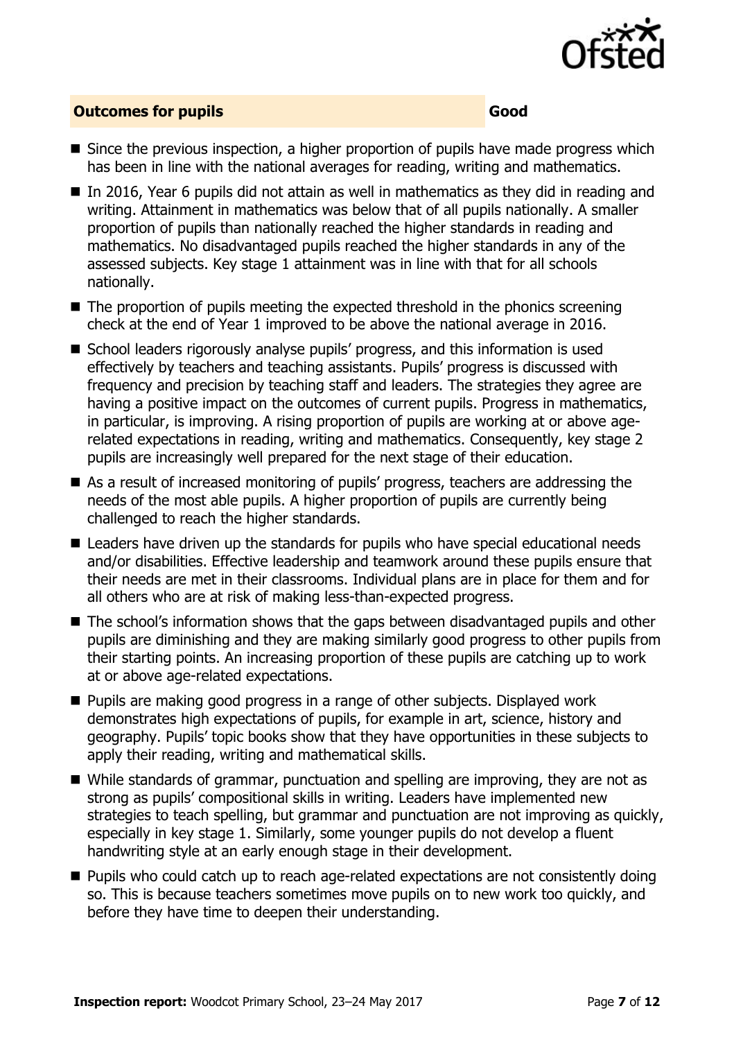

#### **Outcomes for pupils Good**

- Since the previous inspection, a higher proportion of pupils have made progress which has been in line with the national averages for reading, writing and mathematics.
- In 2016, Year 6 pupils did not attain as well in mathematics as they did in reading and writing. Attainment in mathematics was below that of all pupils nationally. A smaller proportion of pupils than nationally reached the higher standards in reading and mathematics. No disadvantaged pupils reached the higher standards in any of the assessed subjects. Key stage 1 attainment was in line with that for all schools nationally.
- $\blacksquare$  The proportion of pupils meeting the expected threshold in the phonics screening check at the end of Year 1 improved to be above the national average in 2016.
- School leaders rigorously analyse pupils' progress, and this information is used effectively by teachers and teaching assistants. Pupils' progress is discussed with frequency and precision by teaching staff and leaders. The strategies they agree are having a positive impact on the outcomes of current pupils. Progress in mathematics, in particular, is improving. A rising proportion of pupils are working at or above agerelated expectations in reading, writing and mathematics. Consequently, key stage 2 pupils are increasingly well prepared for the next stage of their education.
- As a result of increased monitoring of pupils' progress, teachers are addressing the needs of the most able pupils. A higher proportion of pupils are currently being challenged to reach the higher standards.
- Leaders have driven up the standards for pupils who have special educational needs and/or disabilities. Effective leadership and teamwork around these pupils ensure that their needs are met in their classrooms. Individual plans are in place for them and for all others who are at risk of making less-than-expected progress.
- The school's information shows that the gaps between disadvantaged pupils and other pupils are diminishing and they are making similarly good progress to other pupils from their starting points. An increasing proportion of these pupils are catching up to work at or above age-related expectations.
- **Pupils are making good progress in a range of other subjects. Displayed work** demonstrates high expectations of pupils, for example in art, science, history and geography. Pupils' topic books show that they have opportunities in these subjects to apply their reading, writing and mathematical skills.
- While standards of grammar, punctuation and spelling are improving, they are not as strong as pupils' compositional skills in writing. Leaders have implemented new strategies to teach spelling, but grammar and punctuation are not improving as quickly, especially in key stage 1. Similarly, some younger pupils do not develop a fluent handwriting style at an early enough stage in their development.
- **Pupils who could catch up to reach age-related expectations are not consistently doing** so. This is because teachers sometimes move pupils on to new work too quickly, and before they have time to deepen their understanding.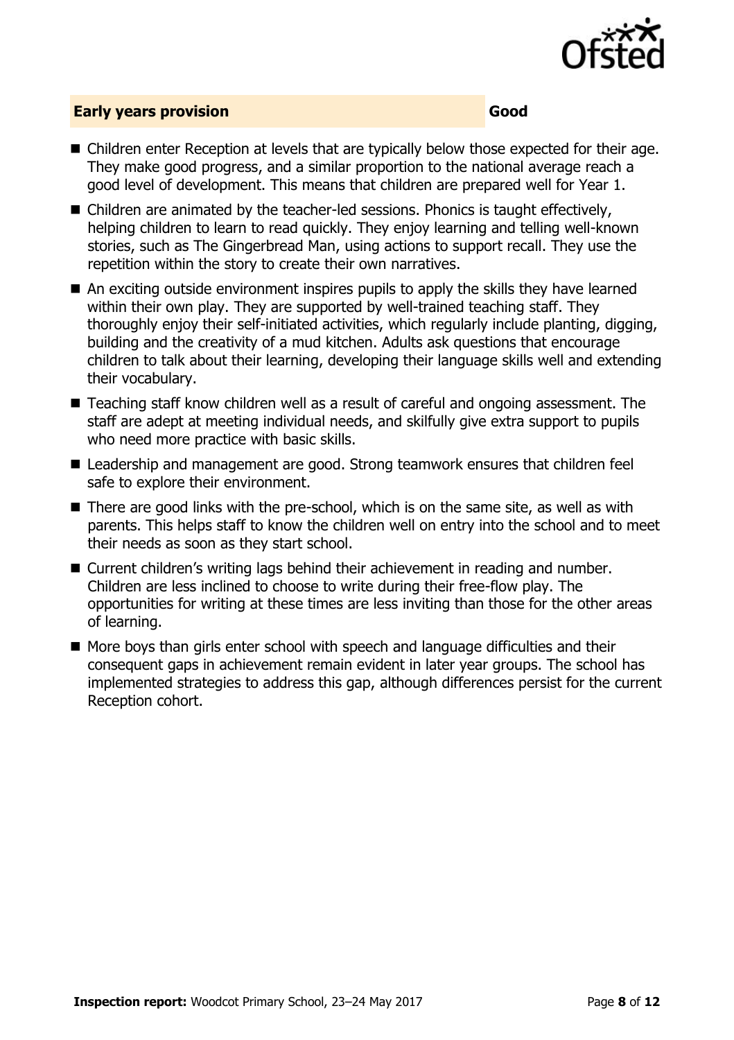

#### **Early years provision Good**

- Children enter Reception at levels that are typically below those expected for their age. They make good progress, and a similar proportion to the national average reach a good level of development. This means that children are prepared well for Year 1.
- Children are animated by the teacher-led sessions. Phonics is taught effectively, helping children to learn to read quickly. They enjoy learning and telling well-known stories, such as The Gingerbread Man, using actions to support recall. They use the repetition within the story to create their own narratives.
- An exciting outside environment inspires pupils to apply the skills they have learned within their own play. They are supported by well-trained teaching staff. They thoroughly enjoy their self-initiated activities, which regularly include planting, digging, building and the creativity of a mud kitchen. Adults ask questions that encourage children to talk about their learning, developing their language skills well and extending their vocabulary.
- Teaching staff know children well as a result of careful and ongoing assessment. The staff are adept at meeting individual needs, and skilfully give extra support to pupils who need more practice with basic skills.
- Leadership and management are good. Strong teamwork ensures that children feel safe to explore their environment.
- There are good links with the pre-school, which is on the same site, as well as with parents. This helps staff to know the children well on entry into the school and to meet their needs as soon as they start school.
- Current children's writing lags behind their achievement in reading and number. Children are less inclined to choose to write during their free-flow play. The opportunities for writing at these times are less inviting than those for the other areas of learning.
- More boys than girls enter school with speech and language difficulties and their consequent gaps in achievement remain evident in later year groups. The school has implemented strategies to address this gap, although differences persist for the current Reception cohort.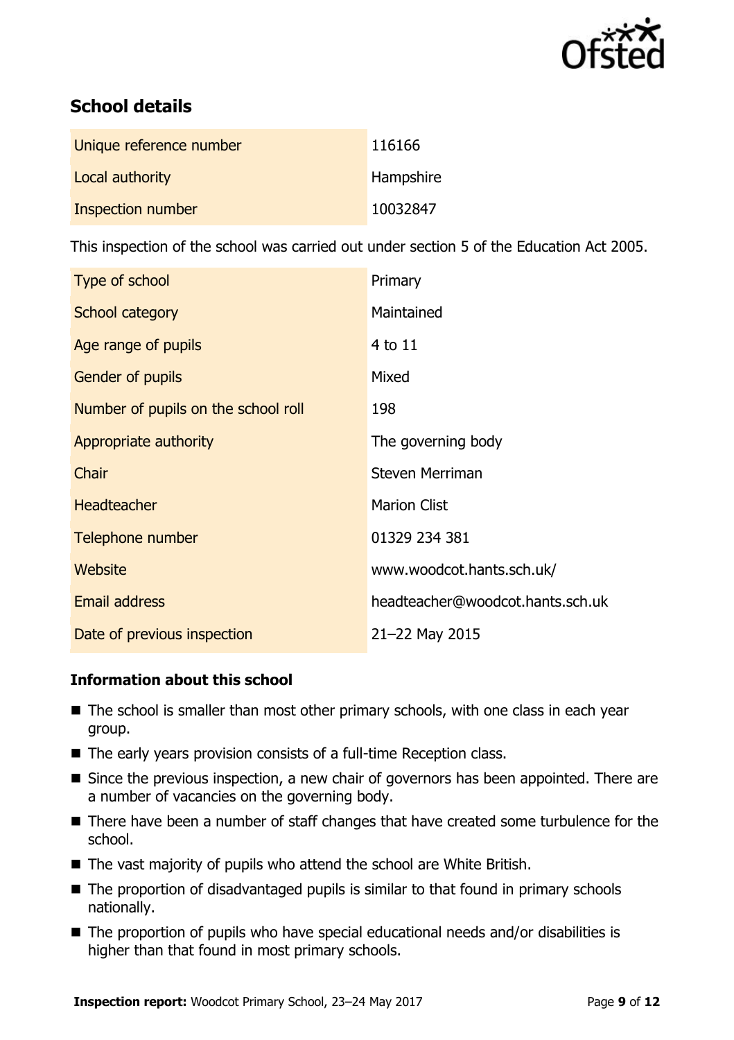

# **School details**

| Unique reference number | 116166    |
|-------------------------|-----------|
| Local authority         | Hampshire |
| Inspection number       | 10032847  |

This inspection of the school was carried out under section 5 of the Education Act 2005.

| Type of school                      | Primary                          |
|-------------------------------------|----------------------------------|
| School category                     | Maintained                       |
| Age range of pupils                 | 4 to 11                          |
| <b>Gender of pupils</b>             | Mixed                            |
| Number of pupils on the school roll | 198                              |
| Appropriate authority               | The governing body               |
| Chair                               | <b>Steven Merriman</b>           |
| <b>Headteacher</b>                  | <b>Marion Clist</b>              |
| Telephone number                    | 01329 234 381                    |
| Website                             | www.woodcot.hants.sch.uk/        |
| Email address                       | headteacher@woodcot.hants.sch.uk |
| Date of previous inspection         | 21-22 May 2015                   |

#### **Information about this school**

- The school is smaller than most other primary schools, with one class in each year group.
- The early years provision consists of a full-time Reception class.
- Since the previous inspection, a new chair of governors has been appointed. There are a number of vacancies on the governing body.
- There have been a number of staff changes that have created some turbulence for the school.
- The vast majority of pupils who attend the school are White British.
- The proportion of disadvantaged pupils is similar to that found in primary schools nationally.
- The proportion of pupils who have special educational needs and/or disabilities is higher than that found in most primary schools.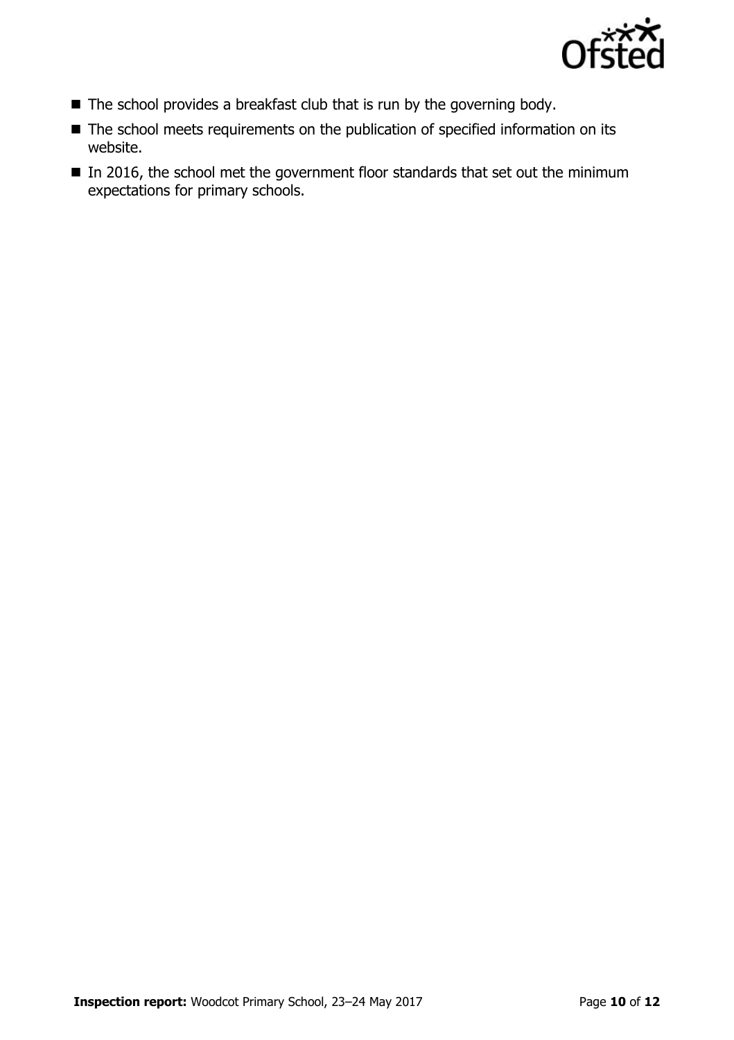

- The school provides a breakfast club that is run by the governing body.
- The school meets requirements on the publication of specified information on its website.
- $\blacksquare$  In 2016, the school met the government floor standards that set out the minimum expectations for primary schools.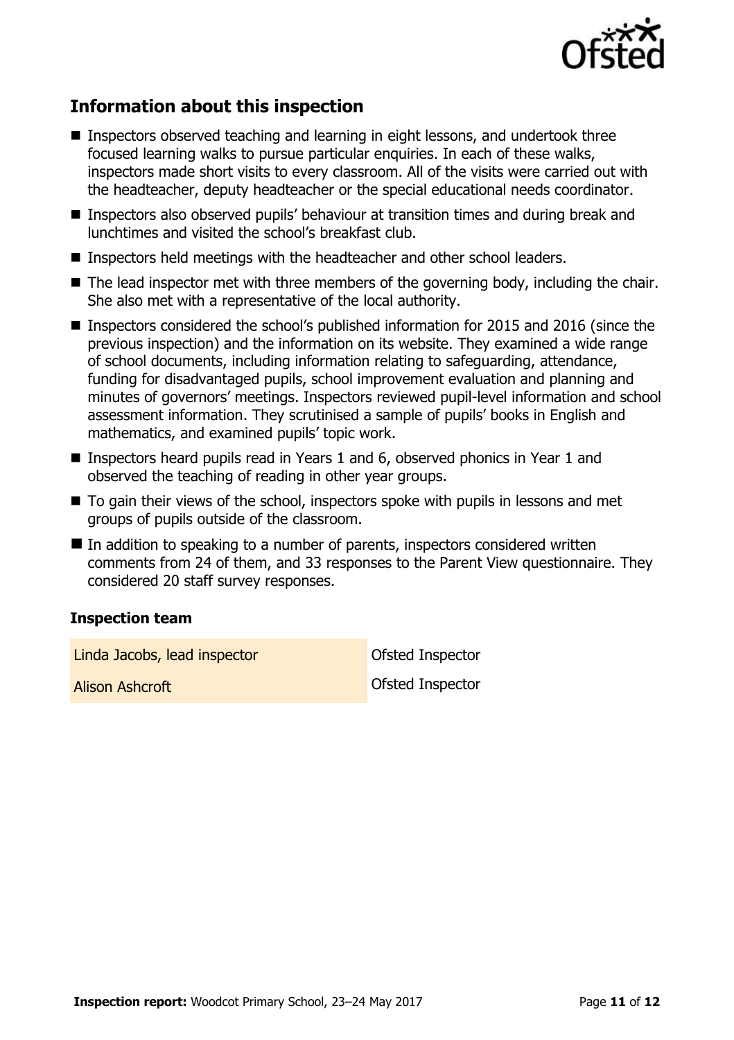

# **Information about this inspection**

- Inspectors observed teaching and learning in eight lessons, and undertook three focused learning walks to pursue particular enquiries. In each of these walks, inspectors made short visits to every classroom. All of the visits were carried out with the headteacher, deputy headteacher or the special educational needs coordinator.
- Inspectors also observed pupils' behaviour at transition times and during break and lunchtimes and visited the school's breakfast club.
- Inspectors held meetings with the headteacher and other school leaders.
- The lead inspector met with three members of the governing body, including the chair. She also met with a representative of the local authority.
- Inspectors considered the school's published information for 2015 and 2016 (since the previous inspection) and the information on its website. They examined a wide range of school documents, including information relating to safeguarding, attendance, funding for disadvantaged pupils, school improvement evaluation and planning and minutes of governors' meetings. Inspectors reviewed pupil-level information and school assessment information. They scrutinised a sample of pupils' books in English and mathematics, and examined pupils' topic work.
- Inspectors heard pupils read in Years 1 and 6, observed phonics in Year 1 and observed the teaching of reading in other year groups.
- To gain their views of the school, inspectors spoke with pupils in lessons and met groups of pupils outside of the classroom.
- In addition to speaking to a number of parents, inspectors considered written comments from 24 of them, and 33 responses to the Parent View questionnaire. They considered 20 staff survey responses.

#### **Inspection team**

Linda Jacobs, lead inspector and offsted Inspector

**Alison Ashcroft Contract Contract Contract Contract Contract Contract Contract Contract Contract Contract Contract Contract Contract Contract Contract Contract Contract Contract Contract Contract Contract Contract Contr**